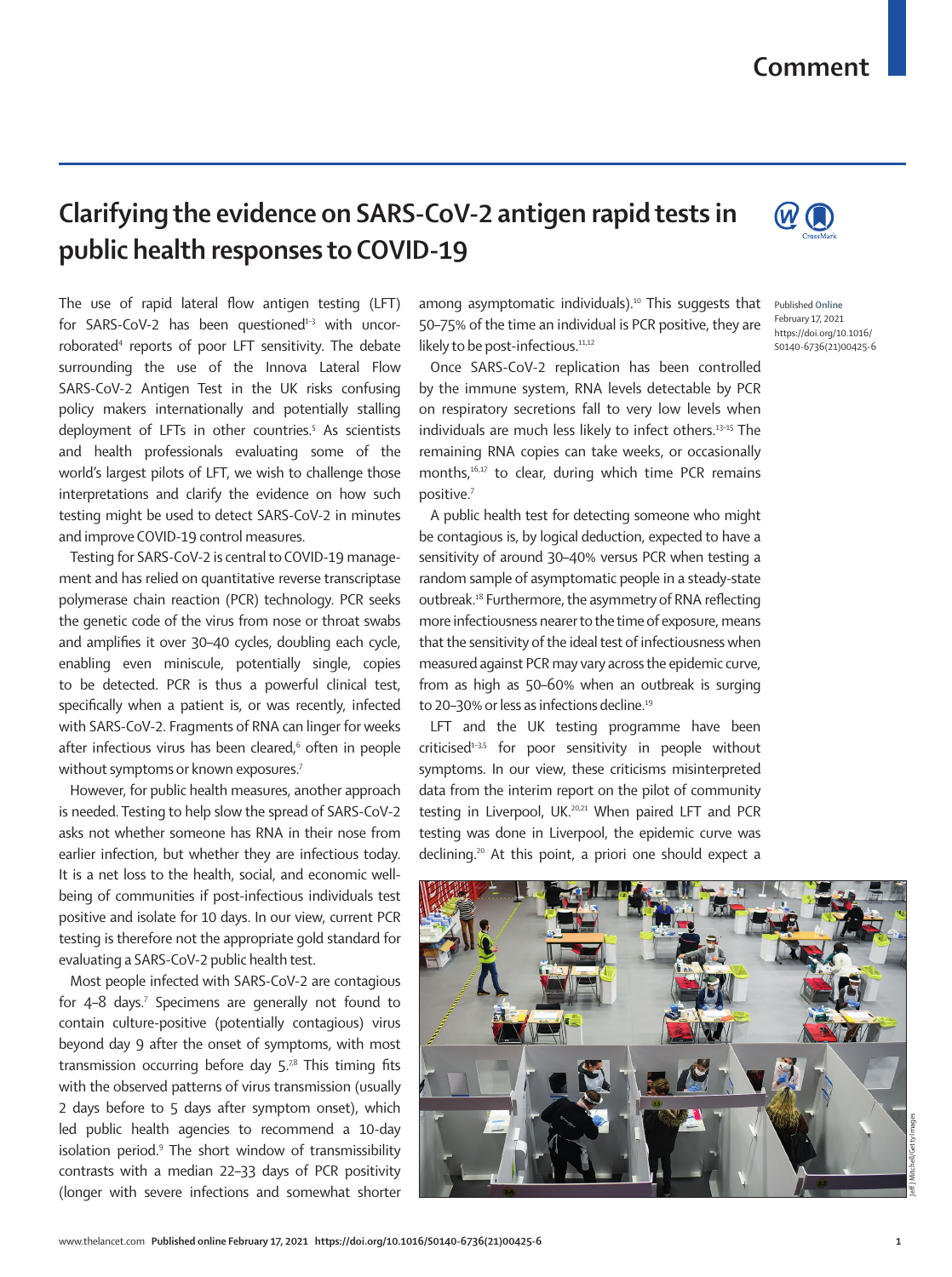## **Comment**

## **Clarifying the evidence on SARS-CoV-2 antigen rapid tests in public health responses to COVID-19**

The use of rapid lateral flow antigen testing (LFT) for SARS-CoV-2 has been questioned $1-3$  with uncorroborated4 reports of poor LFT sensitivity. The debate surrounding the use of the Innova Lateral Flow SARS-CoV-2 Antigen Test in the UK risks confusing policy makers internationally and potentially stalling deployment of LFTs in other countries.5 As scientists and health professionals evaluating some of the world's largest pilots of LFT, we wish to challenge those interpretations and clarify the evidence on how such testing might be used to detect SARS-CoV-2 in minutes and improve COVID-19 control measures.

Testing for SARS-CoV-2 is central to COVID-19 management and has relied on quantitative reverse transcriptase polymerase chain reaction (PCR) technology. PCR seeks the genetic code of the virus from nose or throat swabs and amplifies it over 30–40 cycles, doubling each cycle, enabling even miniscule, potentially single, copies to be detected. PCR is thus a powerful clinical test, specifically when a patient is, or was recently, infected with SARS-CoV-2. Fragments of RNA can linger for weeks after infectious virus has been cleared,<sup>6</sup> often in people without symptoms or known exposures.<sup>7</sup>

However, for public health measures, another approach is needed. Testing to help slow the spread of SARS-CoV-2 asks not whether someone has RNA in their nose from earlier infection, but whether they are infectious today. It is a net loss to the health, social, and economic wellbeing of communities if post-infectious individuals test positive and isolate for 10 days. In our view, current PCR testing is therefore not the appropriate gold standard for evaluating a SARS-CoV-2 public health test.

Most people infected with SARS-CoV-2 are contagious for 4-8 days.<sup>7</sup> Specimens are generally not found to contain culture-positive (potentially contagious) virus beyond day 9 after the onset of symptoms, with most transmission occurring before day  $5^{78}$  This timing fits with the observed patterns of virus transmission (usually 2 days before to 5 days after symptom onset), which led public health agencies to recommend a 10-day isolation period.<sup>9</sup> The short window of transmissibility contrasts with a median 22–33 days of PCR positivity (longer with severe infections and somewhat shorter

among asymptomatic individuals).<sup>10</sup> This suggests that 50–75% of the time an individual is PCR positive, they are likely to be post-infectious.<sup>11,12</sup>

Once SARS-CoV-2 replication has been controlled by the immune system, RNA levels detectable by PCR on respiratory secretions fall to very low levels when individuals are much less likely to infect others.13–15 The remaining RNA copies can take weeks, or occasionally months,16,17 to clear, during which time PCR remains positive.<sup>7</sup>

A public health test for detecting someone who might be contagious is, by logical deduction, expected to have a sensitivity of around 30–40% versus PCR when testing a random sample of asymptomatic people in a steady-state outbreak.18 Furthermore, the asymmetry of RNA reflecting more infectiousness nearer to the time of exposure, means that the sensitivity of the ideal test of infectiousness when measured against PCR may vary across the epidemic curve, from as high as 50–60% when an outbreak is surging to 20-30% or less as infections decline.<sup>19</sup>

LFT and the UK testing programme have been criticised $1-3,5$  for poor sensitivity in people without symptoms. In our view, these criticisms misinterpreted data from the interim report on the pilot of community testing in Liverpool, UK.<sup>20,21</sup> When paired LFT and PCR testing was done in Liverpool, the epidemic curve was declining.20 At this point, a priori one should expect a





Published **Online** February 17, 2021 https://doi.org/10.1016/ S0140-6736(21)00425-6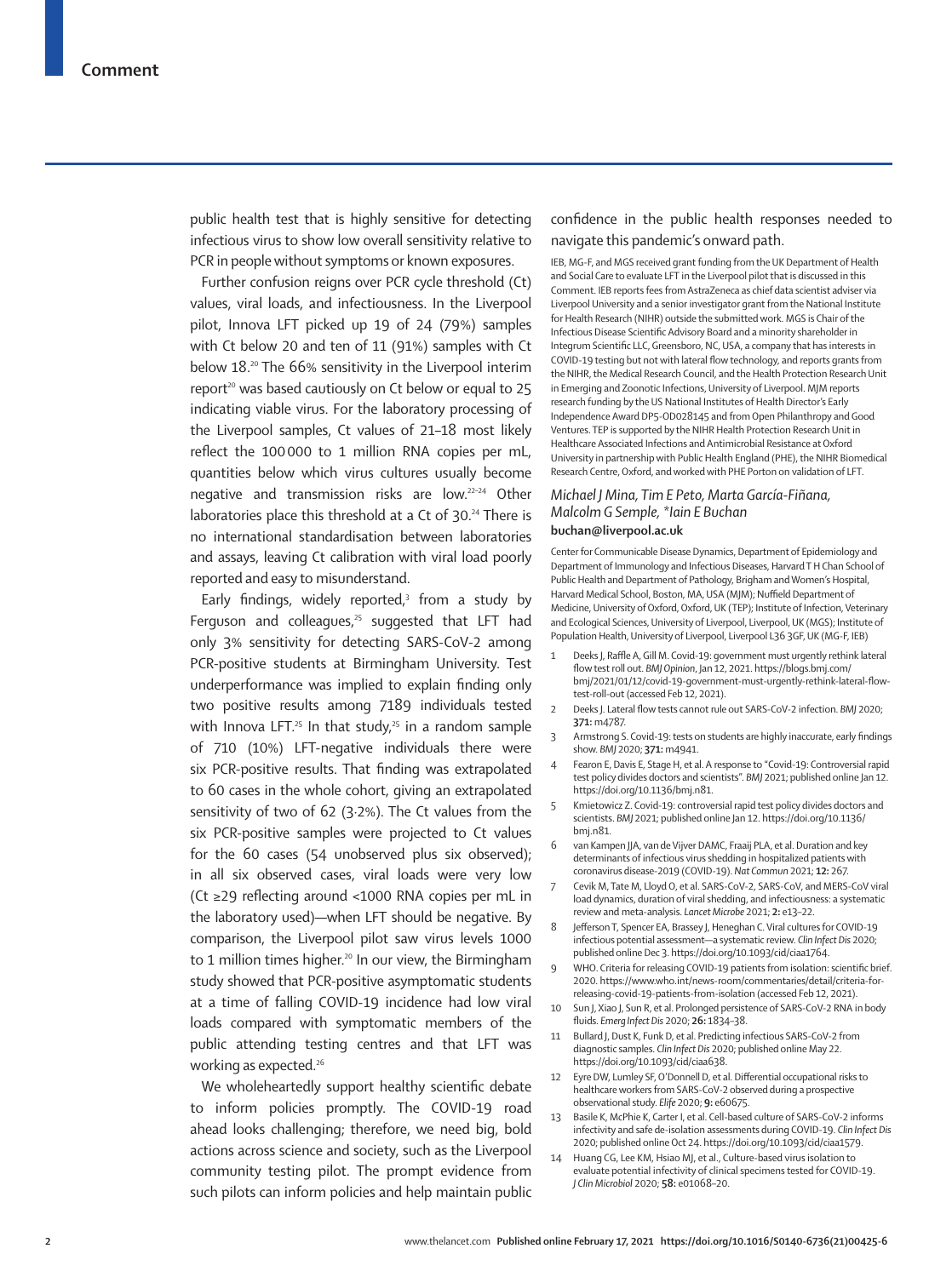public health test that is highly sensitive for detecting infectious virus to show low overall sensitivity relative to PCR in people without symptoms or known exposures.

Further confusion reigns over PCR cycle threshold (Ct) values, viral loads, and infectiousness. In the Liverpool pilot, Innova LFT picked up 19 of 24 (79%) samples with Ct below 20 and ten of 11 (91%) samples with Ct below 18.20 The 66% sensitivity in the Liverpool interim report<sup>20</sup> was based cautiously on Ct below or equal to 25 indicating viable virus. For the laboratory processing of the Liverpool samples, Ct values of 21–18 most likely reflect the 100000 to 1 million RNA copies per mL, quantities below which virus cultures usually become negative and transmission risks are low.22–24 Other laboratories place this threshold at a Ct of 30.<sup>24</sup> There is no international standardisation between laboratories and assays, leaving Ct calibration with viral load poorly reported and easy to misunderstand.

Early findings, widely reported, $3$  from a study by Ferguson and colleagues, $25$  suggested that LFT had only 3% sensitivity for detecting SARS-CoV-2 among PCR-positive students at Birmingham University. Test underperformance was implied to explain finding only two positive results among 7189 individuals tested with Innova LFT.<sup>25</sup> In that study,<sup>25</sup> in a random sample of 710 (10%) LFT-negative individuals there were six PCR-positive results. That finding was extrapolated to 60 cases in the whole cohort, giving an extrapolated sensitivity of two of 62 (3·2%). The Ct values from the six PCR-positive samples were projected to Ct values for the 60 cases (54 unobserved plus six observed); in all six observed cases, viral loads were very low (Ct ≥29 reflecting around <1000 RNA copies per mL in the laboratory used)—when LFT should be negative. By comparison, the Liverpool pilot saw virus levels 1000 to 1 million times higher.<sup>20</sup> In our view, the Birmingham study showed that PCR-positive asymptomatic students at a time of falling COVID-19 incidence had low viral loads compared with symptomatic members of the public attending testing centres and that LFT was working as expected.<sup>26</sup>

We wholeheartedly support healthy scientific debate to inform policies promptly. The COVID-19 road ahead looks challenging; therefore, we need big, bold actions across science and society, such as the Liverpool community testing pilot. The prompt evidence from such pilots can inform policies and help maintain public confidence in the public health responses needed to navigate this pandemic's onward path.

IEB, MG-F, and MGS received grant funding from the UK Department of Health and Social Care to evaluate LFT in the Liverpool pilot that is discussed in this Comment. IEB reports fees from AstraZeneca as chief data scientist adviser via Liverpool University and a senior investigator grant from the National Institute for Health Research (NIHR) outside the submitted work. MGS is Chair of the Infectious Disease Scientific Advisory Board and a minority shareholder in Integrum Scientific LLC, Greensboro, NC, USA, a company that has interests in COVID-19 testing but not with lateral flow technology, and reports grants from the NIHR, the Medical Research Council, and the Health Protection Research Unit in Emerging and Zoonotic Infections, University of Liverpool. MJM reports research funding by the US National Institutes of Health Director's Early Independence Award DP5-OD028145 and from Open Philanthropy and Good Ventures. TEP is supported by the NIHR Health Protection Research Unit in Healthcare Associated Infections and Antimicrobial Resistance at Oxford University in partnership with Public Health England (PHE), the NIHR Biomedical Research Centre, Oxford, and worked with PHE Porton on validation of LFT.

## *Michael J Mina, Tim E Peto, Marta García-Fiñana, Malcolm G Semple, \*Iain E Buchan* **[buchan@liverpool.ac.uk](mailto:buchan@liverpool.ac.uk)**

Center for Communicable Disease Dynamics, Department of Epidemiology and Department of Immunology and Infectious Diseases, Harvard T H Chan School of Public Health and Department of Pathology, Brigham and Women's Hospital, Harvard Medical School, Boston, MA, USA (MJM); Nuffield Department of Medicine, University of Oxford, Oxford, UK (TEP); Institute of Infection, Veterinary and Ecological Sciences, University of Liverpool, Liverpool, UK (MGS); Institute of Population Health, University of Liverpool, Liverpool L36 3GF, UK (MG-F, IEB)

- Deeks J, Raffle A, Gill M. Covid-19: government must urgently rethink lateral flow test roll out. *BMJ Opinion*, Jan 12, 2021. [https://blogs.bmj.com/](https://blogs.bmj.com/bmj/2021/01/12/covid-19-government-must-urgently-rethink-lateral-flow-test-roll-out) [bmj/2021/01/12/covid-19-government-must-urgently-rethink-lateral-flow](https://blogs.bmj.com/bmj/2021/01/12/covid-19-government-must-urgently-rethink-lateral-flow-test-roll-out)[test-roll-out](https://blogs.bmj.com/bmj/2021/01/12/covid-19-government-must-urgently-rethink-lateral-flow-test-roll-out) (accessed Feb 12, 2021).
- 2 Deeks J. Lateral flow tests cannot rule out SARS-CoV-2 infection. *BMJ* 2020; **371:** m4787.
- 3 Armstrong S. Covid-19: tests on students are highly inaccurate, early findings show. *BMJ* 2020; **371:** m4941.
- Fearon E, Davis E, Stage H, et al. A response to "Covid-19: Controversial rapid test policy divides doctors and scientists". *BMJ* 2021; published online Jan 12. <https://doi.org/10.1136/bmj.n81>.
- 5 Kmietowicz Z. Covid-19: controversial rapid test policy divides doctors and scientists. *BMJ* 2021; published online Jan 12. [https://doi.org/10.1136/](https://doi.org/10.1136/bmj.n81) [bmj.n81](https://doi.org/10.1136/bmj.n81).
- 6 van Kampen JJA, van de Vijver DAMC, Fraaij PLA, et al. Duration and key determinants of infectious virus shedding in hospitalized patients with coronavirus disease-2019 (COVID-19). *Nat Commun* 2021; **12:** 267.
- 7 Cevik M, Tate M, Lloyd O, et al. SARS-CoV-2, SARS-CoV, and MERS-CoV viral load dynamics, duration of viral shedding, and infectiousness: a systematic review and meta-analysis. *Lancet Microbe* 2021; **2:** e13–22.
- 8 Jefferson T, Spencer EA, Brassey J, Heneghan C. Viral cultures for COVID-19 infectious potential assessment—a systematic review. *Clin Infect Dis* 2020; published online Dec 3. https://doi.org/10.1093/cid/ciaa1764.
- WHO. Criteria for releasing COVID-19 patients from isolation: scientific brief. 2020. [https://www.who.int/news-room/commentaries/detail/criteria-for](https://www.who.int/news-room/commentaries/detail/criteria-for-releasing-covid-19-patients-from-isolation)[releasing-covid-19-patients-from-isolation](https://www.who.int/news-room/commentaries/detail/criteria-for-releasing-covid-19-patients-from-isolation) (accessed Feb 12, 2021).
- Sun J, Xiao J, Sun R, et al. Prolonged persistence of SARS-CoV-2 RNA in body fluids. *Emerg Infect Dis* 2020; **26:** 1834–38.
- 11 Bullard J, Dust K, Funk D, et al. Predicting infectious SARS-CoV-2 from diagnostic samples. *Clin Infect Dis* 2020; published online May 22. https://doi.org/10.1093/cid/ciaa638.
- 12 Eyre DW, Lumley SF, O'Donnell D, et al. Differential occupational risks to healthcare workers from SARS-CoV-2 observed during a prospective observational study. *Elife* 2020; **9:** e60675.
- 13 Basile K, McPhie K, Carter I, et al. Cell-based culture of SARS-CoV-2 informs infectivity and safe de-isolation assessments during COVID-19. *Clin Infect Dis* 2020; published online Oct 24. https://doi.org/10.1093/cid/ciaa1579.
- 14 Huang CG, Lee KM, Hsiao MJ, et al., Culture-based virus isolation to evaluate potential infectivity of clinical specimens tested for COVID-19. *J Clin Microbiol* 2020; **58:** e01068–20.